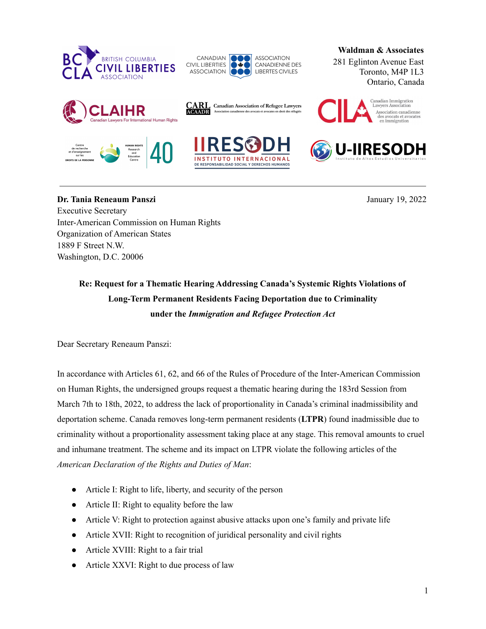



**CARL** Canadian Association of Refugee Lawyers<br>M**OAADR** Association canadienne des avocats et avocates en droit des réfugiés

**Waldman & Associates**

281 Eglinton Avenue East Toronto, M4P 1L3 Ontario, Canada













**-IIRESODH** 

**Dr. Tania Reneaum Panszi** January 19, 2022 Executive Secretary Inter-American Commission on Human Rights Organization of American States 1889 F Street N.W. Washington, D.C. 20006

**Re: Request for a Thematic Hearing Addressing Canada's Systemic Rights Violations of Long-Term Permanent Residents Facing Deportation due to Criminality under the** *Immigration and Refugee Protection Act*

Dear Secretary Reneaum Panszi:

In accordance with Articles 61, 62, and 66 of the Rules of Procedure of the Inter-American Commission on Human Rights, the undersigned groups request a thematic hearing during the 183rd Session from March 7th to 18th, 2022, to address the lack of proportionality in Canada's criminal inadmissibility and deportation scheme. Canada removes long-term permanent residents (**LTPR**) found inadmissible due to criminality without a proportionality assessment taking place at any stage. This removal amounts to cruel and inhumane treatment. The scheme and its impact on LTPR violate the following articles of the *American Declaration of the Rights and Duties of Man*:

- Article I: Right to life, liberty, and security of the person
- Article II: Right to equality before the law
- Article V: Right to protection against abusive attacks upon one's family and private life
- Article XVII: Right to recognition of juridical personality and civil rights
- Article XVIII: Right to a fair trial
- Article XXVI: Right to due process of law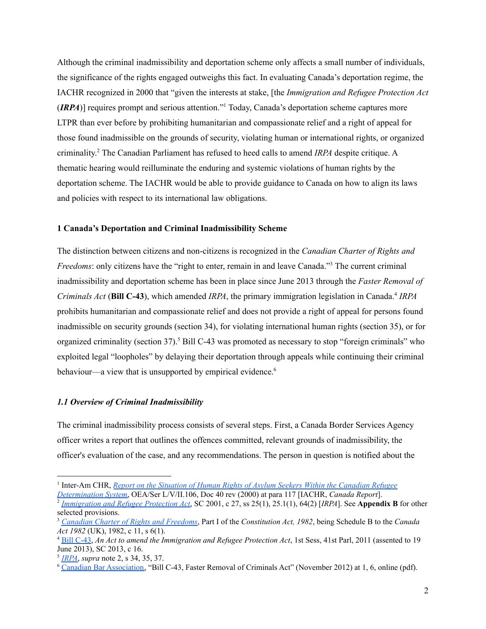Although the criminal inadmissibility and deportation scheme only affects a small number of individuals, the significance of the rights engaged outweighs this fact. In evaluating Canada's deportation regime, the IACHR recognized in 2000 that "given the interests at stake, [the *Immigration and Refugee Protection Act* (**IRPA**)] requires prompt and serious attention."<sup>1</sup> Today, Canada's deportation scheme captures more LTPR than ever before by prohibiting humanitarian and compassionate relief and a right of appeal for those found inadmissible on the grounds of security, violating human or international rights, or organized criminality. <sup>2</sup> The Canadian Parliament has refused to heed calls to amend *IRPA* despite critique. A thematic hearing would reilluminate the enduring and systemic violations of human rights by the deportation scheme. The IACHR would be able to provide guidance to Canada on how to align its laws and policies with respect to its international law obligations.

#### **1 Canada's Deportation and Criminal Inadmissibility Scheme**

The distinction between citizens and non-citizens is recognized in the *Canadian Charter of Rights and* Freedoms: only citizens have the "right to enter, remain in and leave Canada."<sup>3</sup> The current criminal inadmissibility and deportation scheme has been in place since June 2013 through the *Faster Removal of Criminals Act* (**Bill C-43**), which amended *IRPA*, the primary immigration legislation in Canada. 4 *IRPA* prohibits humanitarian and compassionate relief and does not provide a right of appeal for persons found inadmissible on security grounds (section 34), for violating international human rights (section 35), or for organized criminality (section 37). <sup>5</sup> Bill C-43 was promoted as necessary to stop "foreign criminals" who exploited legal "loopholes" by delaying their deportation through appeals while continuing their criminal behaviour—a view that is unsupported by empirical evidence.<sup>6</sup>

#### *1.1 Overview of Criminal Inadmissibility*

The criminal inadmissibility process consists of several steps. First, a Canada Border Services Agency officer writes a report that outlines the offences committed, relevant grounds of inadmissibility, the officer's evaluation of the case, and any recommendations. The person in question is notified about the

2 *[Immigration](https://laws.justice.gc.ca/eng/acts/i-2.5/) and Refugee Protection Act*, SC 2001, c 27, ss 25(1), 25.1(1), 64(2) [*IRPA*]. See **Appendix B** for other *[Determination](https://www.cidh.oas.org/countryrep/canada2000en/table-of-contents.htm) System*, OEA/Ser L/V/II.106, Doc 40 rev (2000) at para 117 [IACHR, *Canada Report*].

<sup>1</sup> Inter-Am CHR, *Report on the Situation of Human Rights of Asylum Seekers Within the [Canadian](https://www.cidh.oas.org/countryrep/canada2000en/table-of-contents.htm) Refugee*

selected provisions.

<sup>3</sup> *Canadian Charter of Rights and [Freedoms](https://laws-lois.justice.gc.ca/eng/const/page-12.html)*, Part I of the *Constitution Act, 1982*, being Schedule B to the *Canada Act 1982* (UK), 1982, c 11, s 6(1).

<sup>4</sup> Bill [C-43,](https://www.parl.ca/DocumentViewer/en/41-1/bill/C-43/royal-assent/page-24#1) *An Act to amend the Immigration and Refugee Protection Act*, 1st Sess, 41st Parl, 2011 (assented to 19 June 2013), SC 2013, c 16.

<sup>5</sup> *[IRPA](https://laws.justice.gc.ca/eng/acts/i-2.5/)*, *supra* note 2, s 34, 35, 37.

<sup>6</sup> Canadian Bar [Association,](https://www.cba.org/CMSPages/GetFile.aspx?guid=3430cb88-6d81-4e27-8fd7-1a9ef3e0869d) "Bill C-43, Faster Removal of Criminals Act" (November 2012) at 1, 6, online (pdf).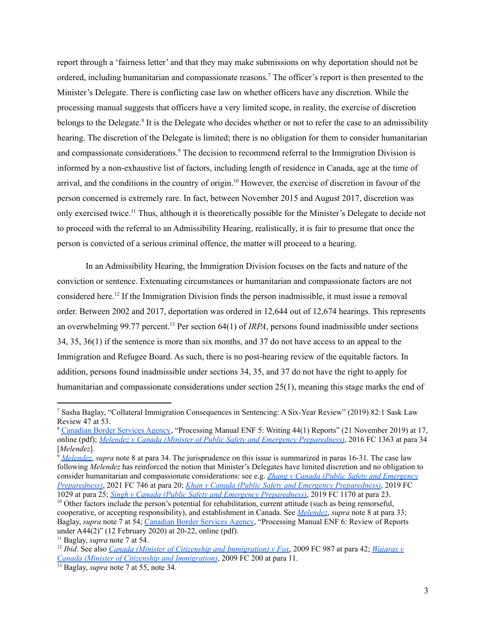report through a 'fairness letter' and that they may make submissions on why deportation should not be ordered, including humanitarian and compassionate reasons. <sup>7</sup> The officer's report is then presented to the Minister's Delegate. There is conflicting case law on whether officers have any discretion. While the processing manual suggests that officers have a very limited scope, in reality, the exercise of discretion belongs to the Delegate.<sup>8</sup> It is the Delegate who decides whether or not to refer the case to an admissibility hearing. The discretion of the Delegate is limited; there is no obligation for them to consider humanitarian and compassionate considerations. <sup>9</sup> The decision to recommend referral to the Immigration Division is informed by a non-exhaustive list of factors, including length of residence in Canada, age at the time of arrival, and the conditions in the country of origin. <sup>10</sup> However, the exercise of discretion in favour of the person concerned is extremely rare. In fact, between November 2015 and August 2017, discretion was only exercised twice.<sup>11</sup> Thus, although it is theoretically possible for the Minister's Delegate to decide not to proceed with the referral to an Admissibility Hearing, realistically, it is fair to presume that once the person is convicted of a serious criminal offence, the matter will proceed to a hearing.

In an Admissibility Hearing, the Immigration Division focuses on the facts and nature of the conviction or sentence. Extenuating circumstances or humanitarian and compassionate factors are not considered here. 12 If the Immigration Division finds the person inadmissible, it must issue a removal order. Between 2002 and 2017, deportation was ordered in 12,644 out of 12,674 hearings. This represents an overwhelming 99.77 percent. <sup>13</sup> Per section 64(1) of *IRPA*, persons found inadmissible under sections 34, 35, 36(1) if the sentence is more than six months, and 37 do not have access to an appeal to the Immigration and Refugee Board. As such, there is no post-hearing review of the equitable factors. In addition, persons found inadmissible under sections 34, 35, and 37 do not have the right to apply for humanitarian and compassionate considerations under section 25(1), meaning this stage marks the end of

<sup>9</sup> *[Melendez](https://www.canlii.org/en/ca/fct/doc/2016/2016fc1363/2016fc1363.html?autocompleteStr=melendez%20v%20canada&autocompletePos=1)*, *supra* note 8 at para 34. The jurisprudence on this issue is summarized in paras 16-31. The case law following *Melendez* has reinforced the notion that Minister's Delegates have limited discretion and no obligation to consider humanitarian and compassionate considerations: see e.g. *Zhang v Canada (Public Safety and [Emergency](https://www.canlii.org/en/ca/fct/doc/2021/2021fc746/2021fc746.html?autocompleteStr=2021%20fc%20746&autocompletePos=1) [Preparedness\)](https://www.canlii.org/en/ca/fct/doc/2021/2021fc746/2021fc746.html?autocompleteStr=2021%20fc%20746&autocompletePos=1)*, 2021 FC 746 at para 20; *Khan v Canada (Public Safety and Emergency [Preparedness\)](https://www.canlii.org/en/ca/fct/doc/2019/2019fc1029/2019fc1029.html?autocompleteStr=2019%20fc%201029&autocompletePos=1)*, 2019 FC 1029 at para 25; *Singh v Canada (Public Safety and Emergency [Preparedness\)](https://www.canlii.org/en/ca/fct/doc/2019/2019fc1170/2019fc1170.html?autocompleteStr=2019%20fc%201170&autocompletePos=1)*, 2019 FC 1170 at para 23.

<sup>7</sup> Sasha Baglay, "Collateral Immigration Consequences in Sentencing: A Six-Year Review" (2019) 82:1 Sask Law Review 47 at 53.

<sup>8</sup> [Canadian](https://www.canada.ca/content/dam/ircc/migration/ircc/english/resources/manuals/enf/enf05-eng.pdf) Border Services Agency, "Processing Manual ENF 5: Writing 44(1) Reports" (21 November 2019) at 17, online (pdf); *Melendez v Canada (Minister of Public Safety and Emergency [Preparedness\)](https://www.canlii.org/en/ca/fct/doc/2016/2016fc1363/2016fc1363.html?autocompleteStr=melendez%20v%20canada&autocompletePos=1)*, 2016 FC 1363 at para 34 [*Melendez*].

 $10$  Other factors include the person's potential for rehabilitation, current attitude (such as being remorseful, cooperative, or accepting responsibility), and establishment in Canada. See *[Melendez](https://www.canlii.org/en/ca/fct/doc/2016/2016fc1363/2016fc1363.html?autocompleteStr=melendez%20v%20canada&autocompletePos=1)*, *supra* note 8 at para 33; Baglay, *supra* note 7 at 54; [Canadian](https://www.canada.ca/content/dam/ircc/migration/ircc/english/resources/manuals/enf/enf06-eng.pdf) Border Services Agency, "Processing Manual ENF 6: Review of Reports under A44(2)" (12 February 2020) at 20-22, online (pdf).

<sup>11</sup> Baglay, *supra* note 7 at 54.

<sup>12</sup> *Ibid*. See also *Canada (Minister of Citizenship and [Immigration\)](https://www.canlii.org/en/ca/fct/doc/2009/2009fc987/2009fc987.html?autocompleteStr=2009%20fc%20987&autocompletePos=1) v Fox*, 2009 FC 987 at para 42; *[Wajaras](https://www.canlii.org/en/ca/fct/doc/2009/2009fc200/2009fc200.html?autocompleteStr=2009%20fc%20200&autocompletePos=1) v Canada (Minister of Citizenship and [Immigration\)](https://www.canlii.org/en/ca/fct/doc/2009/2009fc200/2009fc200.html?autocompleteStr=2009%20fc%20200&autocompletePos=1)*, 2009 FC 200 at para 11.

<sup>13</sup> Baglay, *supra* note 7 at 55, note 34.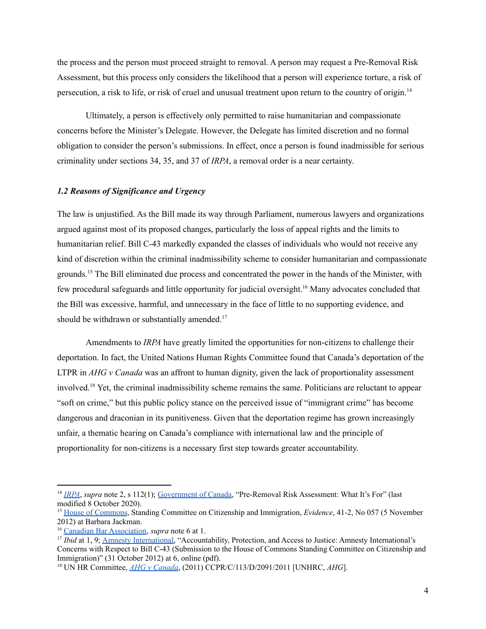the process and the person must proceed straight to removal. A person may request a Pre-Removal Risk Assessment, but this process only considers the likelihood that a person will experience torture, a risk of persecution, a risk to life, or risk of cruel and unusual treatment upon return to the country of origin.<sup>14</sup>

Ultimately, a person is effectively only permitted to raise humanitarian and compassionate concerns before the Minister's Delegate. However, the Delegate has limited discretion and no formal obligation to consider the person's submissions. In effect, once a person is found inadmissible for serious criminality under sections 34, 35, and 37 of *IRPA*, a removal order is a near certainty.

#### *1.2 Reasons of Significance and Urgency*

The law is unjustified. As the Bill made its way through Parliament, numerous lawyers and organizations argued against most of its proposed changes, particularly the loss of appeal rights and the limits to humanitarian relief. Bill C-43 markedly expanded the classes of individuals who would not receive any kind of discretion within the criminal inadmissibility scheme to consider humanitarian and compassionate grounds.<sup>15</sup> The Bill eliminated due process and concentrated the power in the hands of the Minister, with few procedural safeguards and little opportunity for judicial oversight.<sup>16</sup> Many advocates concluded that the Bill was excessive, harmful, and unnecessary in the face of little to no supporting evidence, and should be withdrawn or substantially amended.<sup>17</sup>

Amendments to *IRPA* have greatly limited the opportunities for non-citizens to challenge their deportation. In fact, the United Nations Human Rights Committee found that Canada's deportation of the LTPR in *AHG v Canada* was an affront to human dignity, given the lack of proportionality assessment involved. <sup>18</sup> Yet, the criminal inadmissibility scheme remains the same. Politicians are reluctant to appear "soft on crime," but this public policy stance on the perceived issue of "immigrant crime" has become dangerous and draconian in its punitiveness. Given that the deportation regime has grown increasingly unfair, a thematic hearing on Canada's compliance with international law and the principle of proportionality for non-citizens is a necessary first step towards greater accountability.

<sup>&</sup>lt;sup>14</sup> *[IRPA](https://laws.justice.gc.ca/eng/acts/i-2.5/)*, *supra* note 2, s 112(1); [Government](https://www.canada.ca/en/immigration-refugees-citizenship/services/refugees/claim-protection-inside-canada/after-apply-next-steps/refusal-options/pre-removal-risk-assessment.html) of Canada, "Pre-Removal Risk Assessment: What It's For" (last modified 8 October 2020).

<sup>15</sup> House of [Commons](https://www.ourcommons.ca/DocumentViewer/en/41-1/CIMM/meeting-57/evidence), Standing Committee on Citizenship and Immigration, *Evidence*, 41-2, No 057 (5 November 2012) at Barbara Jackman.

<sup>16</sup> Canadian Bar [Association,](https://www.cba.org/CMSPages/GetFile.aspx?guid=3430cb88-6d81-4e27-8fd7-1a9ef3e0869d) *supra* note 6 at 1.

<sup>&</sup>lt;sup>17</sup> *Ibid* at 1, 9; **Amnesty International**, "Accountability, Protection, and Access to Justice: Amnesty International's Concerns with Respect to Bill C-43 (Submission to the House of Commons Standing Committee on Citizenship and Immigration)" (31 October 2012) at 6, online (pdf).

<sup>18</sup> UN HR Committee, *AHG v [Canada](https://documents-dds-ny.un.org/doc/UNDOC/GEN/G15/114/80/PDF/G1511480.pdf?OpenElement)*, (2011) CCPR/C/113/D/2091/2011 [UNHRC, *AHG*].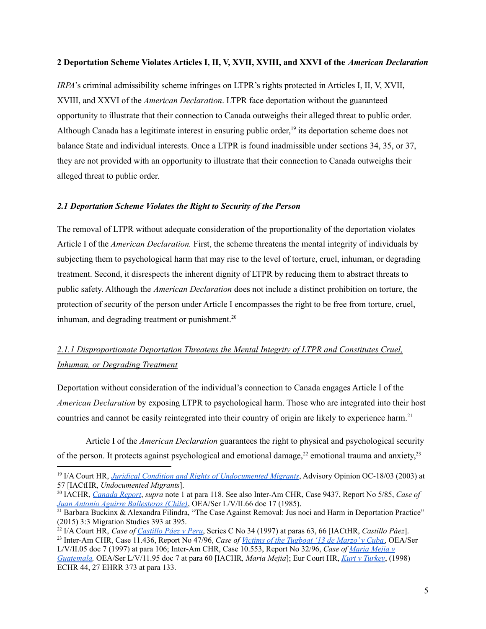#### **2 Deportation Scheme Violates Articles I, II, V, XVII, XVIII, and XXVI of the** *American Declaration*

*IRPA*'s criminal admissibility scheme infringes on LTPR's rights protected in Articles I, II, V, XVII, XVIII, and XXVI of the *American Declaration*. LTPR face deportation without the guaranteed opportunity to illustrate that their connection to Canada outweighs their alleged threat to public order. Although Canada has a legitimate interest in ensuring public order, 19 its deportation scheme does not balance State and individual interests. Once a LTPR is found inadmissible under sections 34, 35, or 37, they are not provided with an opportunity to illustrate that their connection to Canada outweighs their alleged threat to public order.

### *2.1 Deportation Scheme Violates the Right to Security of the Person*

The removal of LTPR without adequate consideration of the proportionality of the deportation violates Article I of the *American Declaration.* First, the scheme threatens the mental integrity of individuals by subjecting them to psychological harm that may rise to the level of torture, cruel, inhuman, or degrading treatment. Second, it disrespects the inherent dignity of LTPR by reducing them to abstract threats to public safety. Although the *American Declaration* does not include a distinct prohibition on torture, the protection of security of the person under Article I encompasses the right to be free from torture, cruel, inhuman, and degrading treatment or punishment. $20$ 

# *2.1.1 Disproportionate Deportation Threatens the Mental Integrity of LTPR and Constitutes Cruel, Inhuman, or Degrading Treatment*

Deportation without consideration of the individual's connection to Canada engages Article I of the *American Declaration* by exposing LTPR to psychological harm. Those who are integrated into their host countries and cannot be easily reintegrated into their country of origin are likely to experience harm. 21

Article I of the *American Declaration* guarantees the right to physical and psychological security of the person. It protects against psychological and emotional damage,<sup>22</sup> emotional trauma and anxiety,<sup>23</sup>

<sup>19</sup> I/A Court HR, *Juridical Condition and Rights of [Undocumented](https://www.corteidh.or.cr/docs/opiniones/seriea_18_ing.pdf) Migrants*, Advisory Opinion OC-18/03 (2003) at 57 [IACtHR, *Undocumented Migrants*].

<sup>20</sup> IACHR, *[Canada](https://www.cidh.oas.org/countryrep/canada2000en/table-of-contents.htm) Report*, *supra* note 1 at para 118. See also Inter-Am CHR, Case 9437, Report No 5/85, *Case of Juan Antonio Aguirre [Ballesteros](http://www.cidh.org/annualrep/84.85eng/Chile9437.htm) (Chile)*, OEA/Ser L/V/II.66 doc 17 (1985).

<sup>&</sup>lt;sup>21</sup> Barbara Buckinx & Alexandra Filindra, "The Case Against Removal: Jus noci and Harm in Deportation Practice" (2015) 3:3 Migration Studies 393 at 395.

<sup>22</sup> I/A Court HR, *Case of [Castillo](https://www.corteidh.or.cr/docs/casos/articulos/seriec_34_ing.pdf) Páez v Peru*, Series C No 34 (1997) at paras 63, 66 [IACtHR, *Castillo Páez*].

<sup>23</sup> Inter-Am CHR, Case 11.436, Report No 47/96, *Case of Victims of the [Tugboat](https://www.refworld.org/cases,IACHR,3ae6b6812c.html) '13 de Marzo' v Cuba*, OEA/Ser L/V/II.05 doc 7 (1997) at para 106; Inter-Am CHR, Case 10.553, Report No 32/96, *Case of [Maria](https://www.refworld.org/cases,IACHR,502caee52.html) Mejia v [Guatemala](https://www.refworld.org/cases,IACHR,502caee52.html),* OEA/Ser L/V/11.95 doc 7 at para 60 [IACHR*, Maria Mejia*]; Eur Court HR, *Kurt v [Turkey](https://hudoc.echr.coe.int/fre#%7B%22fulltext%22:[%22Kurt%22],%22itemid%22:[%22001-58198%22]%7D)*, (1998)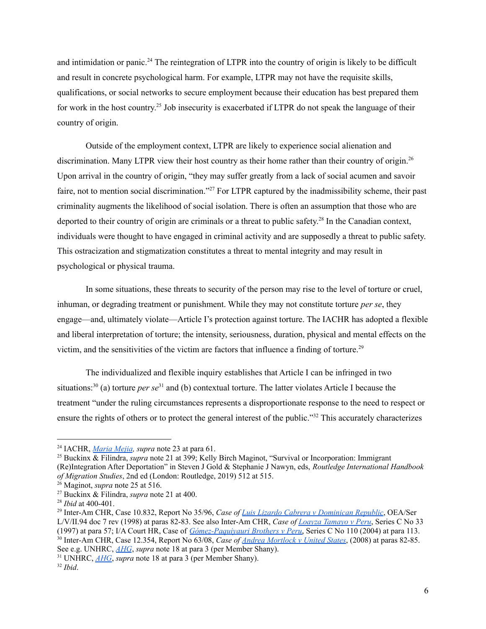and intimidation or panic.<sup>24</sup> The reintegration of LTPR into the country of origin is likely to be difficult and result in concrete psychological harm. For example, LTPR may not have the requisite skills, qualifications, or social networks to secure employment because their education has best prepared them for work in the host country.<sup>25</sup> Job insecurity is exacerbated if LTPR do not speak the language of their country of origin.

Outside of the employment context, LTPR are likely to experience social alienation and discrimination. Many LTPR view their host country as their home rather than their country of origin.<sup>26</sup> Upon arrival in the country of origin, "they may suffer greatly from a lack of social acumen and savoir faire, not to mention social discrimination."<sup>27</sup> For LTPR captured by the inadmissibility scheme, their past criminality augments the likelihood of social isolation. There is often an assumption that those who are deported to their country of origin are criminals or a threat to public safety.<sup>28</sup> In the Canadian context, individuals were thought to have engaged in criminal activity and are supposedly a threat to public safety. This ostracization and stigmatization constitutes a threat to mental integrity and may result in psychological or physical trauma.

In some situations, these threats to security of the person may rise to the level of torture or cruel, inhuman, or degrading treatment or punishment. While they may not constitute torture *per se*, they engage—and, ultimately violate—Article I's protection against torture. The IACHR has adopted a flexible and liberal interpretation of torture; the intensity, seriousness, duration, physical and mental effects on the victim, and the sensitivities of the victim are factors that influence a finding of torture.<sup>29</sup>

The individualized and flexible inquiry establishes that Article I can be infringed in two situations:<sup>30</sup> (a) torture *per se*<sup>31</sup> and (b) contextual torture. The latter violates Article I because the treatment "under the ruling circumstances represents a disproportionate response to the need to respect or ensure the rights of others or to protect the general interest of the public."<sup>32</sup> This accurately characterizes

<sup>24</sup> IACHR, *[Maria](https://www.refworld.org/cases,IACHR,502caee52.html) Mejia, supra* note 23 at para 61.

<sup>25</sup> Buckinx & Filindra, *supra* note 21 at 399; Kelly Birch Maginot, "Survival or Incorporation: Immigrant (Re)Integration After Deportation" in Steven J Gold & Stephanie J Nawyn, eds, *Routledge International Handbook of Migration Studies*, 2nd ed (London: Routledge, 2019) 512 at 515.

<sup>&</sup>lt;sup>26</sup> Maginot, *supra* note 25 at 516.

<sup>27</sup> Buckinx & Filindra, *supra* note 21 at 400.

<sup>28</sup> *Ibid* at 400-401.

<sup>29</sup> Inter-Am CHR, Case 10.832, Report No 35/96, *Case of Luis Lizardo Cabrera v [Dominican](http://www.worldcourts.com/iacmhr/eng/decisions/1998.02.19_Lizardo_Cabrera_v_Dominican_Republic.htm) Republic*, OEA/Ser L/V/II.94 doc 7 rev (1998) at paras 82-83. See also Inter-Am CHR, *Case of Loayza [Tamayo](https://www.corteidh.or.cr/docs/casos/articulos/seriec_33_ing.pdf) v Peru*, Series C No 33

<sup>(1997)</sup> at para 57; I/A Court HR, Case of *[Gómez-Paquiyauri](https://www.corteidh.or.cr/docs/casos/articulos/seriec_110_ing.pdf) Brothers v Peru*, Series C No 110 (2004) at para 113.

<sup>30</sup> Inter-Am CHR, Case 12.354, Report No 63/08, *Case of Andrea [Mortlock](https://www.refworld.org/cases,IACHR,5020e1072.html) v United States*, (2008) at paras 82-85. See e.g. UNHRC, *[AHG](https://documents-dds-ny.un.org/doc/UNDOC/GEN/G15/114/80/PDF/G1511480.pdf?OpenElement)*, *supra* note 18 at para 3 (per Member Shany).

<sup>31</sup> UNHRC, *[AHG](https://documents-dds-ny.un.org/doc/UNDOC/GEN/G15/114/80/PDF/G1511480.pdf?OpenElement)*, *supra* note 18 at para 3 (per Member Shany).

<sup>32</sup> *Ibid*.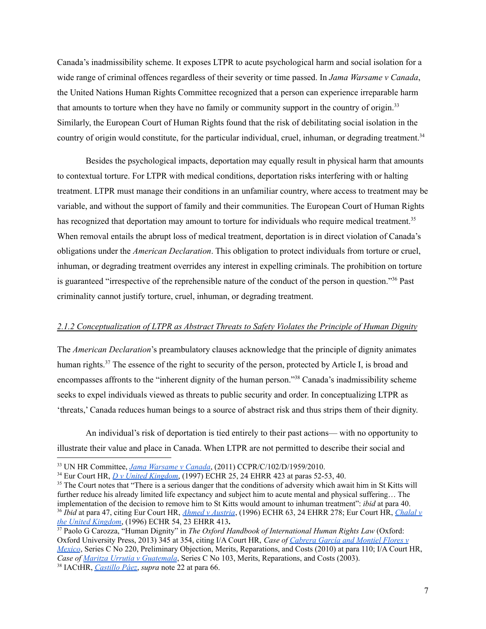Canada's inadmissibility scheme. It exposes LTPR to acute psychological harm and social isolation for a wide range of criminal offences regardless of their severity or time passed. In *Jama Warsame v Canada*, the United Nations Human Rights Committee recognized that a person can experience irreparable harm that amounts to torture when they have no family or community support in the country of origin.<sup>33</sup> Similarly, the European Court of Human Rights found that the risk of debilitating social isolation in the country of origin would constitute, for the particular individual, cruel, inhuman, or degrading treatment. 34

Besides the psychological impacts, deportation may equally result in physical harm that amounts to contextual torture. For LTPR with medical conditions, deportation risks interfering with or halting treatment. LTPR must manage their conditions in an unfamiliar country, where access to treatment may be variable, and without the support of family and their communities. The European Court of Human Rights has recognized that deportation may amount to torture for individuals who require medical treatment.<sup>35</sup> When removal entails the abrupt loss of medical treatment, deportation is in direct violation of Canada's obligations under the *American Declaration*. This obligation to protect individuals from torture or cruel, inhuman, or degrading treatment overrides any interest in expelling criminals. The prohibition on torture is guaranteed "irrespective of the reprehensible nature of the conduct of the person in question."<sup>36</sup> Past criminality cannot justify torture, cruel, inhuman, or degrading treatment.

#### *2.1.2 Conceptualization of LTPR as Abstract Threats to Safety Violates the Principle of Human Dignity*

The *American Declaration*'s preambulatory clauses acknowledge that the principle of dignity animates human rights.<sup>37</sup> The essence of the right to security of the person, protected by Article I, is broad and encompasses affronts to the "inherent dignity of the human person."<sup>38</sup> Canada's inadmissibility scheme seeks to expel individuals viewed as threats to public security and order. In conceptualizing LTPR as 'threats,' Canada reduces human beings to a source of abstract risk and thus strips them of their dignity.

An individual's risk of deportation is tied entirely to their past actions— with no opportunity to illustrate their value and place in Canada. When LTPR are not permitted to describe their social and

<sup>36</sup> *Ibid* at para 47, citing Eur Court HR, *Ahmed v [Austria](https://www.refworld.org/cases,ECHR,3ae6b62f2c.html)*, (1996) ECHR 63, 24 EHRR 278; Eur Court HR, *[Chalal](https://hudoc.echr.coe.int/fre#%7B%22fulltext%22:[%22Chahal%22],%22itemid%22:[%22001-58004%22]%7D) v the United [Kingdom](https://hudoc.echr.coe.int/fre#%7B%22fulltext%22:[%22Chahal%22],%22itemid%22:[%22001-58004%22]%7D)*, (1996) ECHR 54, 23 EHRR 413**.** <sup>35</sup> The Court notes that "There is a serious danger that the conditions of adversity which await him in St Kitts will further reduce his already limited life expectancy and subject him to acute mental and physical suffering… The implementation of the decision to remove him to St Kitts would amount to inhuman treatment": *ibid* at para 40.

<sup>33</sup> UN HR Committee, *Jama [Warsame](https://www.refworld.org/cases,HRC,4ee0f0302.html) v Canada*, (2011) CCPR/C/102/D/1959/2010.

<sup>34</sup> Eur Court HR, *D v United [Kingdom](https://www.refworld.org/cases,ECHR,46deb3452.html)*, (1997) ECHR 25, 24 EHRR 423 at paras 52-53, 40.

<sup>38</sup> IACtHR, *[Castillo](https://www.corteidh.or.cr/docs/casos/articulos/seriec_34_ing.pdf) Páez*, *supra* note 22 at para 66. <sup>37</sup> Paolo G Carozza, "Human Dignity" in *The Oxford Handbook of International Human Rights Law* (Oxford: Oxford University Press, 2013) 345 at 354, citing I/A Court HR, *Case of [Cabrera](https://www.corteidh.or.cr/docs/casos/articulos/seriec_220_ing.pdf) García and Montiel Flores v [Mexico](https://www.corteidh.or.cr/docs/casos/articulos/seriec_220_ing.pdf)*, Series C No 220, Preliminary Objection, Merits, Reparations, and Costs (2010) at para 110; I/A Court HR, *Case of Maritza Urrutia v [Guatemala](https://www.corteidh.or.cr/docs/casos/articulos/seriec_103_ing.pdf)*, Series C No 103, Merits, Reparations, and Costs (2003).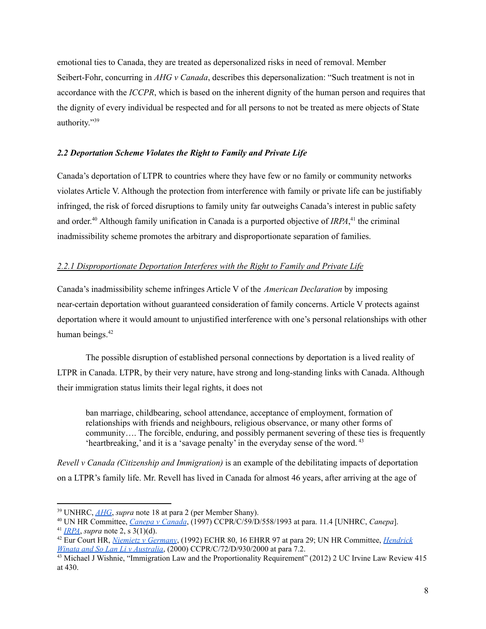emotional ties to Canada, they are treated as depersonalized risks in need of removal. Member Seibert-Fohr, concurring in *AHG v Canada*, describes this depersonalization: "Such treatment is not in accordance with the *ICCPR*, which is based on the inherent dignity of the human person and requires that the dignity of every individual be respected and for all persons to not be treated as mere objects of State authority."<sup>39</sup>

### *2.2 Deportation Scheme Violates the Right to Family and Private Life*

Canada's deportation of LTPR to countries where they have few or no family or community networks violates Article V. Although the protection from interference with family or private life can be justifiably infringed, the risk of forced disruptions to family unity far outweighs Canada's interest in public safety and order.<sup>40</sup> Although family unification in Canada is a purported objective of *IRPA*,<sup>41</sup> the criminal inadmissibility scheme promotes the arbitrary and disproportionate separation of families.

## *2.2.1 Disproportionate Deportation Interferes with the Right to Family and Private Life*

Canada's inadmissibility scheme infringes Article V of the *American Declaration* by imposing near-certain deportation without guaranteed consideration of family concerns. Article V protects against deportation where it would amount to unjustified interference with one's personal relationships with other human beings. 42

The possible disruption of established personal connections by deportation is a lived reality of LTPR in Canada. LTPR, by their very nature, have strong and long-standing links with Canada. Although their immigration status limits their legal rights, it does not

ban marriage, childbearing, school attendance, acceptance of employment, formation of relationships with friends and neighbours, religious observance, or many other forms of community…. The forcible, enduring, and possibly permanent severing of these ties is frequently 'heartbreaking,' and it is a 'savage penalty' in the everyday sense of the word.<sup>43</sup>

*Revell v Canada (Citizenship and Immigration)* is an example of the debilitating impacts of deportation on a LTPR's family life. Mr. Revell has lived in Canada for almost 46 years, after arriving at the age of

<sup>39</sup> UNHRC, *[AHG](https://documents-dds-ny.un.org/doc/UNDOC/GEN/G15/114/80/PDF/G1511480.pdf?OpenElement)*, *supra* note 18 at para 2 (per Member Shany).

<sup>40</sup> UN HR Committee, *Canepa v [Canada](http://hrlibrary.umn.edu/undocs/558-1993.html)*, (1997) CCPR/C/59/D/558/1993 at para. 11.4 [UNHRC, *Canepa*].

<sup>41</sup> *[IRPA](https://laws.justice.gc.ca/eng/acts/i-2.5/)*, *supra* note 2, s 3(1)(d).

<sup>42</sup> Eur Court HR, *Niemietz v [Germany](https://www.refworld.org/cases,ECHR,3f32560b4.html)*, (1992) ECHR 80, 16 EHRR 97 at para 29; UN HR Committee, *[Hendrick](https://www.refworld.org/cases,HRC,3f588ef67.html) Winata and So Lan Li v [Australia](https://www.refworld.org/cases,HRC,3f588ef67.html)*, (2000) CCPR/C/72/D/930/2000 at para 7.2.

<sup>&</sup>lt;sup>43</sup> Michael J Wishnie, "Immigration Law and the Proportionality Requirement" (2012) 2 UC Irvine Law Review 415 at 430.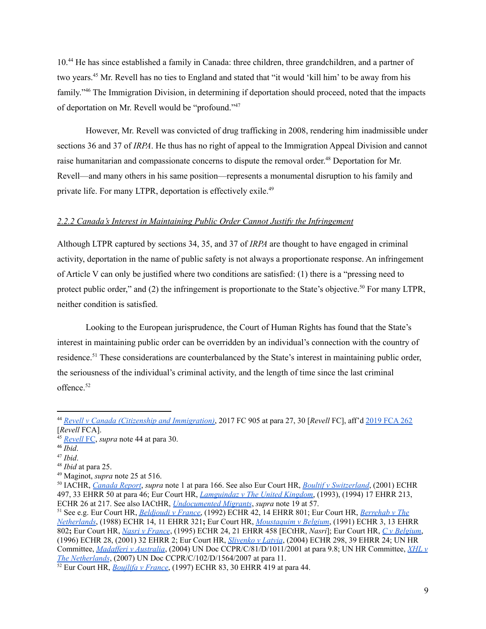10.<sup>44</sup> He has since established a family in Canada: three children, three grandchildren, and a partner of two years. <sup>45</sup> Mr. Revell has no ties to England and stated that "it would 'kill him' to be away from his family."<sup>46</sup> The Immigration Division, in determining if deportation should proceed, noted that the impacts of deportation on Mr. Revell would be "profound."<sup>47</sup>

However, Mr. Revell was convicted of drug trafficking in 2008, rendering him inadmissible under sections 36 and 37 of *IRPA*. He thus has no right of appeal to the Immigration Appeal Division and cannot raise humanitarian and compassionate concerns to dispute the removal order.<sup>48</sup> Deportation for Mr. Revell—and many others in his same position—represents a monumental disruption to his family and private life. For many LTPR, deportation is effectively exile.<sup>49</sup>

#### *2.2.2 Canada's Interest in Maintaining Public Order Cannot Justify the Infringement*

Although LTPR captured by sections 34, 35, and 37 of *IRPA* are thought to have engaged in criminal activity, deportation in the name of public safety is not always a proportionate response. An infringement of Article V can only be justified where two conditions are satisfied: (1) there is a "pressing need to protect public order," and (2) the infringement is proportionate to the State's objective.<sup>50</sup> For many LTPR, neither condition is satisfied.

Looking to the European jurisprudence, the Court of Human Rights has found that the State's interest in maintaining public order can be overridden by an individual's connection with the country of residence.<sup>51</sup> These considerations are counterbalanced by the State's interest in maintaining public order, the seriousness of the individual's criminal activity, and the length of time since the last criminal offence. 52

<sup>44</sup> *Revell v Canada (Citizenship and [Immigration\)](https://www.canlii.org/en/ca/fct/doc/2017/2017fc905/2017fc905.html)*, 2017 FC 905 at para 27, 30 [*Revell* FC], aff'd [2019](https://www.canlii.org/en/ca/fca/doc/2019/2019fca262/2019fca262.html) FCA 262 [*Revell* FCA].

<sup>45</sup> *[Revell](https://www.canlii.org/en/ca/fct/doc/2017/2017fc905/2017fc905.html)* FC, *supra* note 44 at para 30.

<sup>46</sup> *Ibid*.

<sup>47</sup> *Ibid*.

<sup>48</sup> *Ibid* at para 25.

<sup>49</sup> Maginot, *supra* note 25 at 516.

<sup>50</sup> IACHR, *[Canada](https://www.cidh.oas.org/countryrep/canada2000en/table-of-contents.htm) Report*, *supra* note 1 at para 166. See also Eur Court HR, *Boultif v [Switzerland](https://www.refworld.org/cases,ECHR,468cbc9e12.html)*, (2001) ECHR 497, 33 EHRR 50 at para 46; Eur Court HR, *[Lamguindaz](https://www.refworld.org/cases,COECOMMHR,3ae6b67b0.html) v The United Kingdom*, (1993), (1994) 17 EHRR 213, ECHR 26 at 217. See also IACtHR, *[Undocumented](https://www.corteidh.or.cr/docs/opiniones/seriea_18_ing.pdf) Migrants*, *supra* note 19 at 57.

<sup>51</sup> See e.g. Eur Court HR, *[Beldjoudi](https://www.refworld.org/cases,ECHR,4029f4bc4.html) v France*, (1992) ECHR 42, 14 EHRR 801; Eur Court HR, *[Berrehab](https://www.refworld.org/cases,ECHR,3ae6b6f424.html) v The [Netherlands](https://www.refworld.org/cases,ECHR,3ae6b6f424.html)*, (1988) ECHR 14, 11 EHRR 321**;** Eur Court HR, *[Moustaquim](https://www.refworld.org/cases,ECHR,3ae6b7018.html) v Belgium*, (1991) ECHR 3, 13 EHRR 802**;** Eur Court HR, *Nasri v [France](https://www.refworld.org/cases,ECHR,3ae6b6ffc.html)*, (1995) ECHR 24, 21 EHRR 458 [ECtHR, *Nasri*]; Eur Court HR, *C v [Belgium](https://www.refworld.org/cases,ECHR,3f3266b04.html)*, (1996) ECHR 28, (2001) 32 EHRR 2; Eur Court HR, *[Slivenko](https://www.refworld.org/pdfid/402b5b034.pdf) v Latvia*, (2004) ECHR 298, 39 EHRR 24; UN HR Committee, *Madafferi v [Australia](http://hrlibrary.umn.edu/undocs/html/1011-2001.html)*, (2004) UN Doc CCPR/C/81/D/1011/2001 at para 9.8; UN HR Committee, *[XHL](http://docstore.ohchr.org/SelfServices/FilesHandler.ashx?enc=6QkG1d%2fPPRiCAqhKb7yhspbttFNxTkgvXTPJWIZn3vmpO8hTZ97EkJ0tGfIOoYizkD%2fRd5yKtODvE1R4XwbFYh%2fwz5MbPi%2bV63lN9yS7YZm%2b97smazD1lV2H7Mpm0c3P%2fK%2fRIXNPzr27P64gI16Siw%3d%3d) v The [Netherlands](http://docstore.ohchr.org/SelfServices/FilesHandler.ashx?enc=6QkG1d%2fPPRiCAqhKb7yhspbttFNxTkgvXTPJWIZn3vmpO8hTZ97EkJ0tGfIOoYizkD%2fRd5yKtODvE1R4XwbFYh%2fwz5MbPi%2bV63lN9yS7YZm%2b97smazD1lV2H7Mpm0c3P%2fK%2fRIXNPzr27P64gI16Siw%3d%3d)*, (2007) UN Doc CCPR/C/102/D/1564/2007 at para 11.

<sup>52</sup> Eur Court HR, *[Boujlifa](https://www.bailii.org/eu/cases/ECHR/1997/83.html) v France*, (1997) ECHR 83, 30 EHRR 419 at para 44.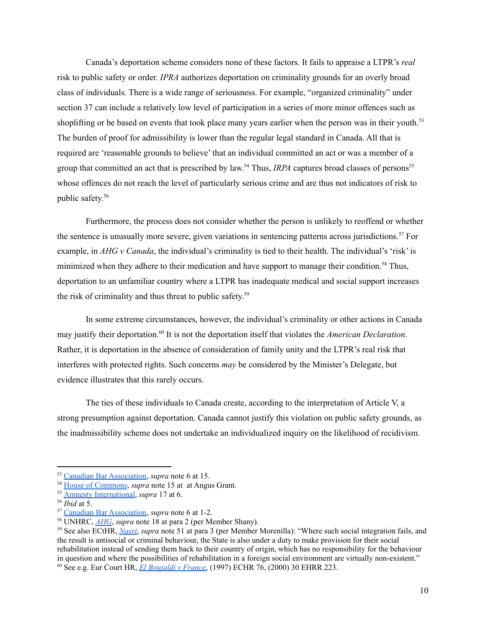Canada's deportation scheme considers none of these factors. It fails to appraise a LTPR's *real* risk to public safety or order. *IPRA* authorizes deportation on criminality grounds for an overly broad class of individuals. There is a wide range of seriousness. For example, "organized criminality" under section 37 can include a relatively low level of participation in a series of more minor offences such as shoplifting or be based on events that took place many years earlier when the person was in their youth.<sup>53</sup> The burden of proof for admissibility is lower than the regular legal standard in Canada. All that is required are 'reasonable grounds to believe' that an individual committed an act or was a member of a group that committed an act that is prescribed by law.<sup>54</sup> Thus, *IRPA* captures broad classes of persons<sup>55</sup> whose offences do not reach the level of particularly serious crime and are thus not indicators of risk to public safety. 56

Furthermore, the process does not consider whether the person is unlikely to reoffend or whether the sentence is unusually more severe, given variations in sentencing patterns across jurisdictions. <sup>57</sup> For example, in *AHG v Canada*, the individual's criminality is tied to their health. The individual's 'risk' is minimized when they adhere to their medication and have support to manage their condition.<sup>58</sup> Thus, deportation to an unfamiliar country where a LTPR has inadequate medical and social support increases the risk of criminality and thus threat to public safety. 59

In some extreme circumstances, however, the individual's criminality or other actions in Canada may justify their deportation. 60 It is not the deportation itself that violates the *American Declaration*. Rather, it is deportation in the absence of consideration of family unity and the LTPR's real risk that interferes with protected rights. Such concerns *may* be considered by the Minister's Delegate, but evidence illustrates that this rarely occurs.

The ties of these individuals to Canada create, according to the interpretation of Article V, a strong presumption against deportation. Canada cannot justify this violation on public safety grounds, as the inadmissibility scheme does not undertake an individualized inquiry on the likelihood of recidivism.

<sup>53</sup> Canadian Bar [Association,](https://www.cba.org/CMSPages/GetFile.aspx?guid=3430cb88-6d81-4e27-8fd7-1a9ef3e0869d) *supra* note 6 at 15.

<sup>54</sup> House of [Commons](https://www.ourcommons.ca/DocumentViewer/en/41-1/CIMM/meeting-57/evidence), *supra* note 15 at at Angus Grant.

<sup>55</sup> Amnesty [International](https://amnesty.ca/sites/amnesty/files/ai_submissions_c43_oct31.pdf), *supra* 17 at 6.

<sup>56</sup> *Ibid* at 5.

<sup>57</sup> Canadian Bar [Association,](https://www.cba.org/CMSPages/GetFile.aspx?guid=3430cb88-6d81-4e27-8fd7-1a9ef3e0869d) *supra* note 6 at 1-2.

<sup>58</sup> UNHRC, *[AHG](https://documents-dds-ny.un.org/doc/UNDOC/GEN/G15/114/80/PDF/G1511480.pdf?OpenElement)*, *supra* note 18 at para 2 (per Member Shany).

<sup>60</sup> See e.g. Eur Court HR, *El [Boujaïdi](https://www.bailii.org/eu/cases/ECHR/1997/76.html) v France*, (1997) ECHR 76, (2000) 30 EHRR 223. <sup>59</sup> See also ECtHR, *[Nasri](https://www.refworld.org/cases,ECHR,3ae6b6ffc.html)*, *supra* note 51 at para 3 (per Member Morenilla): "Where such social integration fails, and the result is antisocial or criminal behaviour, the State is also under a duty to make provision for their social rehabilitation instead of sending them back to their country of origin, which has no responsibility for the behaviour in question and where the possibilities of rehabilitation in a foreign social environment are virtually non-existent."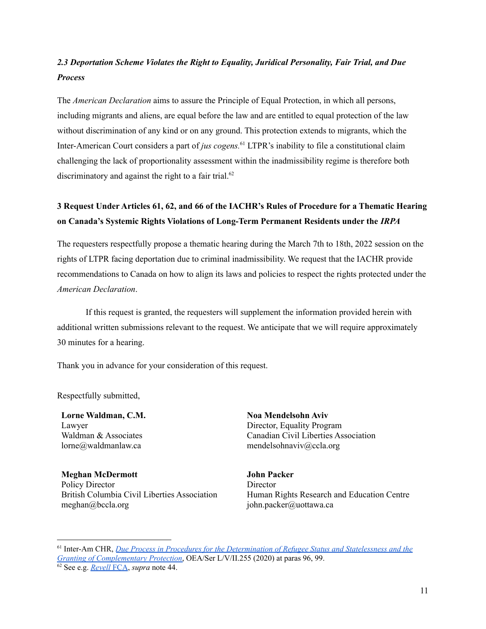# *2.3 Deportation Scheme Violates the Right to Equality, Juridical Personality, Fair Trial, and Due Process*

The *American Declaration* aims to assure the Principle of Equal Protection, in which all persons, including migrants and aliens, are equal before the law and are entitled to equal protection of the law without discrimination of any kind or on any ground. This protection extends to migrants, which the Inter-American Court considers a part of *jus cogens.* <sup>61</sup> LTPR's inability to file a constitutional claim challenging the lack of proportionality assessment within the inadmissibility regime is therefore both discriminatory and against the right to a fair trial.<sup>62</sup>

# **3 Request Under Articles 61, 62, and 66 of the IACHR's Rules of Procedure for a Thematic Hearing on Canada's Systemic Rights Violations of Long-Term Permanent Residents under the** *IRPA*

The requesters respectfully propose a thematic hearing during the March 7th to 18th, 2022 session on the rights of LTPR facing deportation due to criminal inadmissibility. We request that the IACHR provide recommendations to Canada on how to align its laws and policies to respect the rights protected under the *American Declaration*.

If this request is granted, the requesters will supplement the information provided herein with additional written submissions relevant to the request. We anticipate that we will require approximately 30 minutes for a hearing.

Thank you in advance for your consideration of this request.

Respectfully submitted,

**Lorne Waldman, C.M.** Lawyer Waldman & Associates lorne@waldmanlaw.ca

**Meghan McDermott** Policy Director British Columbia Civil Liberties Association meghan@bccla.org

**Noa Mendelsohn Aviv** Director, Equality Program Canadian Civil Liberties Association mendelsohnaviv@ccla.org

**John Packer Director** Human Rights Research and Education Centre john.packer@uottawa.ca

<sup>61</sup> Inter-Am CHR, *Due Process in Procedures for the [Determination](https://www.oas.org/en/iachr/reports/pdfs/DueProcess-EN.pdf) of Refugee Status and Statelessness and the Granting of [Complementary](https://www.oas.org/en/iachr/reports/pdfs/DueProcess-EN.pdf) Protection*, OEA/Ser L/V/II.255 (2020) at paras 96, 99.

<sup>62</sup> See e.g. *[Revell](https://www.canlii.org/en/ca/fca/doc/2019/2019fca262/2019fca262.html)* FCA, *supra* note 44.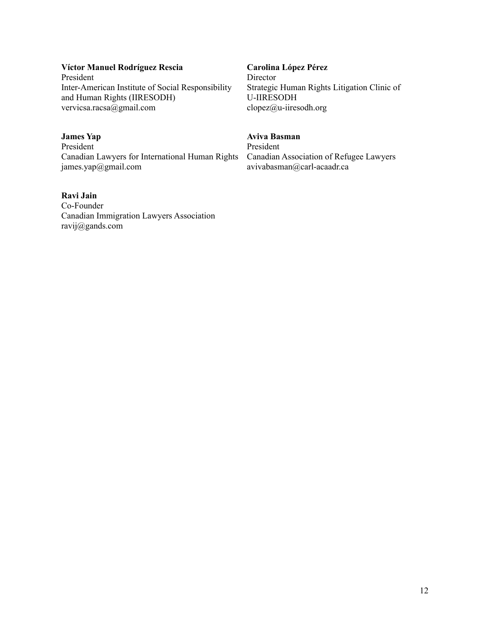## **Víctor Manuel Rodríguez Rescia**

President Inter-American Institute of Social Responsibility and Human Rights (IIRESODH) vervicsa.racsa@gmail.com

# **James Yap**

President Canadian Lawyers for International Human Rights james.yap@gmail.com

### **Ravi Jain**

Co-Founder Canadian Immigration Lawyers Association ravij@gands.com

### **Carolina López Pérez**

Director Strategic Human Rights Litigation Clinic of U-IIRESODH clopez@u-iiresodh.org

# **Aviva Basman**

President Canadian Association of Refugee Lawyers avivabasman@carl-acaadr.ca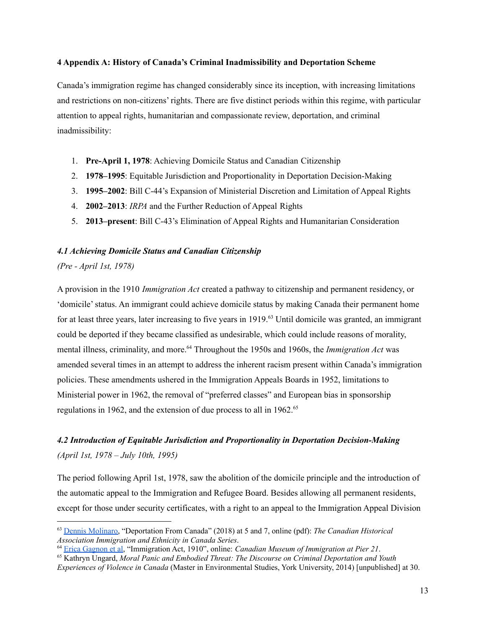### **4 Appendix A: History of Canada's Criminal Inadmissibility and Deportation Scheme**

Canada's immigration regime has changed considerably since its inception, with increasing limitations and restrictions on non-citizens' rights. There are five distinct periods within this regime, with particular attention to appeal rights, humanitarian and compassionate review, deportation, and criminal inadmissibility:

- 1. **Pre-April 1, 1978**: Achieving Domicile Status and Canadian Citizenship
- 2. **1978–1995**: Equitable Jurisdiction and Proportionality in Deportation Decision-Making
- 3. **1995–2002**: Bill C-44's Expansion of Ministerial Discretion and Limitation of Appeal Rights
- 4. **2002–2013**: *IRPA* and the Further Reduction of Appeal Rights
- 5. **2013–present**: Bill C-43's Elimination of Appeal Rights and Humanitarian Consideration

### *4.1 Achieving Domicile Status and Canadian Citizenship*

## *(Pre - April 1st, 1978)*

A provision in the 1910 *Immigration Act* created a pathway to citizenship and permanent residency, or 'domicile'status. An immigrant could achieve domicile status by making Canada their permanent home for at least three years, later increasing to five years in 1919. <sup>63</sup> Until domicile was granted, an immigrant could be deported if they became classified as undesirable, which could include reasons of morality, mental illness, criminality, and more. <sup>64</sup> Throughout the 1950s and 1960s, the *Immigration Act* was amended several times in an attempt to address the inherent racism present within Canada's immigration policies. These amendments ushered in the Immigration Appeals Boards in 1952, limitations to Ministerial power in 1962, the removal of "preferred classes" and European bias in sponsorship regulations in 1962, and the extension of due process to all in 1962. 65

# *4.2 Introduction of Equitable Jurisdiction and Proportionality in Deportation Decision-Making (April 1st, 1978 – July 10th, 1995)*

The period following April 1st, 1978, saw the abolition of the domicile principle and the introduction of the automatic appeal to the Immigration and Refugee Board. Besides allowing all permanent residents, except for those under security certificates, with a right to an appeal to the Immigration Appeal Division

<sup>63</sup> Dennis [Molinaro,](https://cha-shc.ca/_uploads/5c374fbf48bff.pdf) "Deportation From Canada" (2018) at 5 and 7, online (pdf): *The Canadian Historical Association Immigration and Ethnicity in Canada Series*.

<sup>64</sup> Erica [Gagnon](https://pier21.ca/research/immigration-history/immigration-act-1910) et al, "Immigration Act, 1910", online: *Canadian Museum of Immigration at Pier 21*.

<sup>65</sup> Kathryn Ungard, *Moral Panic and Embodied Threat: The Discourse on Criminal Deportation and Youth Experiences of Violence in Canada* (Master in Environmental Studies, York University, 2014) [unpublished] at 30.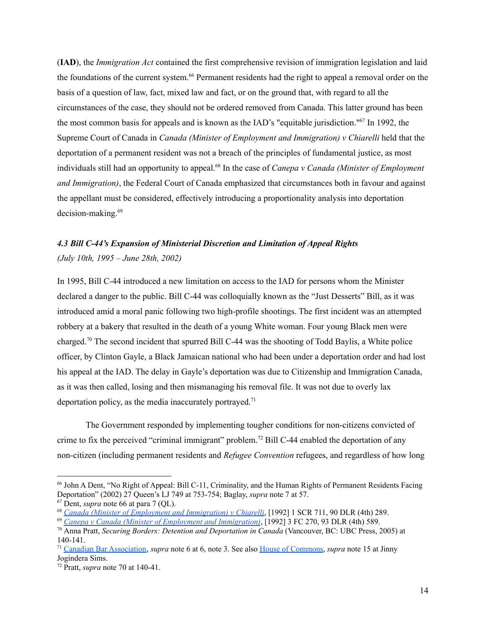(**IAD**), the *Immigration Act* contained the first comprehensive revision of immigration legislation and laid the foundations of the current system. <sup>66</sup> Permanent residents had the right to appeal a removal order on the basis of a question of law, fact, mixed law and fact, or on the ground that, with regard to all the circumstances of the case, they should not be ordered removed from Canada. This latter ground has been the most common basis for appeals and is known as the IAD's "equitable jurisdiction." 67 In 1992, the Supreme Court of Canada in *Canada (Minister of Employment and Immigration) v Chiarelli* held that the deportation of a permanent resident was not a breach of the principles of fundamental justice, as most individuals still had an opportunity to appeal. 68 In the case of *Canepa v Canada (Minister of Employment and Immigration)*, the Federal Court of Canada emphasized that circumstances both in favour and against the appellant must be considered, effectively introducing a proportionality analysis into deportation decision-making. 69

# *4.3 Bill C-44's Expansion of Ministerial Discretion and Limitation of Appeal Rights (July 10th, 1995 – June 28th, 2002)*

In 1995, Bill C-44 introduced a new limitation on access to the IAD for persons whom the Minister declared a danger to the public. Bill C-44 was colloquially known as the "Just Desserts" Bill, as it was introduced amid a moral panic following two high-profile shootings. The first incident was an attempted robbery at a bakery that resulted in the death of a young White woman. Four young Black men were charged.<sup>70</sup> The second incident that spurred Bill C-44 was the shooting of Todd Baylis, a White police officer, by Clinton Gayle, a Black Jamaican national who had been under a deportation order and had lost his appeal at the IAD. The delay in Gayle's deportation was due to Citizenship and Immigration Canada, as it was then called, losing and then mismanaging his removal file. It was not due to overly lax deportation policy, as the media inaccurately portrayed.<sup>71</sup>

The Government responded by implementing tougher conditions for non-citizens convicted of crime to fix the perceived "criminal immigrant" problem. <sup>72</sup> Bill C-44 enabled the deportation of any non-citizen (including permanent residents and *Refugee Convention* refugees, and regardless of how long

<sup>66</sup> John A Dent, "No Right of Appeal: Bill C-11, Criminality, and the Human Rights of Permanent Residents Facing Deportation" (2002) 27 Queen's LJ 749 at 753-754; Baglay, *supra* note 7 at 57.

<sup>67</sup> Dent, *supra* note 66 at para 7 (QL).

<sup>68</sup> *Canada (Minister of Employment and [Immigration\)](https://www.canlii.org/en/ca/scc/doc/1992/1992canlii87/1992canlii87.html?autocompleteStr=chiarelli&autocompletePos=1) v Chiarelli*, [1992] 1 SCR 711, 90 DLR (4th) 289.

<sup>69</sup> *Canepa v Canada (Minister of Employment and [Immigration\)](https://www.canlii.org/en/ca/fca/doc/1992/1992canlii8567/1992canlii8567.html?autocompleteStr=canepa%20v%20canada&autocompletePos=1)*, [1992] 3 FC 270, 93 DLR (4th) 589.

<sup>70</sup> Anna Pratt, *Securing Borders: Detention and Deportation in Canada* (Vancouver, BC: UBC Press, 2005) at 140-141.

<sup>71</sup> Canadian Bar [Association,](https://www.cba.org/CMSPages/GetFile.aspx?guid=3430cb88-6d81-4e27-8fd7-1a9ef3e0869d) *supra* note 6 at 6, note 3. See also House of [Commons](https://www.ourcommons.ca/DocumentViewer/en/41-1/CIMM/meeting-57/evidence), *supra* note 15 at Jinny Jogindera Sims.

<sup>72</sup> Pratt, *supra* note 70 at 140-41.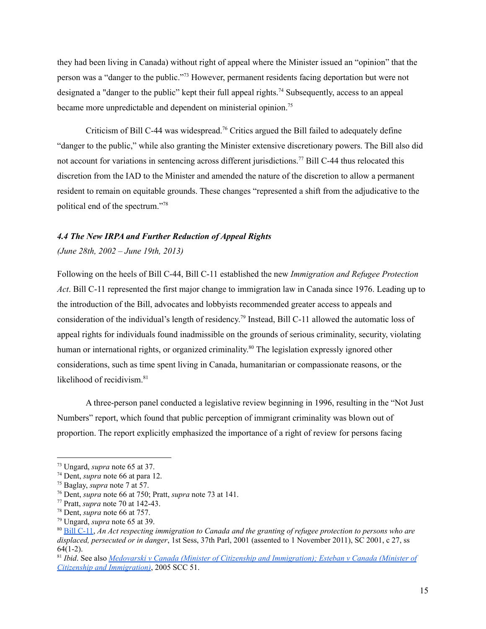they had been living in Canada) without right of appeal where the Minister issued an "opinion" that the person was a "danger to the public."<sup>73</sup> However, permanent residents facing deportation but were not designated a "danger to the public" kept their full appeal rights.<sup>74</sup> Subsequently, access to an appeal became more unpredictable and dependent on ministerial opinion.<sup>75</sup>

Criticism of Bill C-44 was widespread.<sup>76</sup> Critics argued the Bill failed to adequately define "danger to the public," while also granting the Minister extensive discretionary powers. The Bill also did not account for variations in sentencing across different jurisdictions.<sup>77</sup> Bill C-44 thus relocated this discretion from the IAD to the Minister and amended the nature of the discretion to allow a permanent resident to remain on equitable grounds. These changes "represented a shift from the adjudicative to the political end of the spectrum." 78

#### *4.4 The New IRPA and Further Reduction of Appeal Rights*

#### *(June 28th, 2002 – June 19th, 2013)*

Following on the heels of Bill C-44, Bill C-11 established the new *Immigration and Refugee Protection Act*. Bill C-11 represented the first major change to immigration law in Canada since 1976. Leading up to the introduction of the Bill, advocates and lobbyists recommended greater access to appeals and consideration of the individual's length of residency. 79 Instead, Bill C-11 allowed the automatic loss of appeal rights for individuals found inadmissible on the grounds of serious criminality, security, violating human or international rights, or organized criminality.<sup>80</sup> The legislation expressly ignored other considerations, such as time spent living in Canada, humanitarian or compassionate reasons, or the likelihood of recidivism. 81

A three-person panel conducted a legislative review beginning in 1996, resulting in the "Not Just Numbers" report, which found that public perception of immigrant criminality was blown out of proportion. The report explicitly emphasized the importance of a right of review for persons facing

<sup>73</sup> Ungard, *supra* note 65 at 37.

<sup>74</sup> Dent, *supra* note 66 at para 12.

<sup>75</sup> Baglay, *supra* note 7 at 57.

<sup>76</sup> Dent, *supra* note 66 at 750; Pratt, *supra* note 73 at 141.

<sup>77</sup> Pratt, *supra* note 70 at 142-43.

<sup>78</sup> Dent, *supra* note 66 at 757.

<sup>79</sup> Ungard, *supra* note 65 at 39.

<sup>80</sup> Bill [C-11,](https://www.parl.ca/DocumentViewer/en/37-1/bill/C-11/royal-assent/page-19#1) *An Act respecting immigration to Canada and the granting of refugee protection to persons who are displaced, persecuted or in danger*, 1st Sess, 37th Parl, 2001 (assented to 1 November 2011), SC 2001, c 27, ss  $64(1-2)$ .

<sup>81</sup> *Ibid*. See also *Medovarski v Canada (Minister of Citizenship and [Immigration\);](https://www.canlii.org/en/ca/scc/doc/2005/2005scc51/2005scc51.html?autocompleteStr=2005%20scc%2051&autocompletePos=1) Esteban v Canada (Minister of Citizenship and [Immigration\)](https://www.canlii.org/en/ca/scc/doc/2005/2005scc51/2005scc51.html?autocompleteStr=2005%20scc%2051&autocompletePos=1)*, 2005 SCC 51.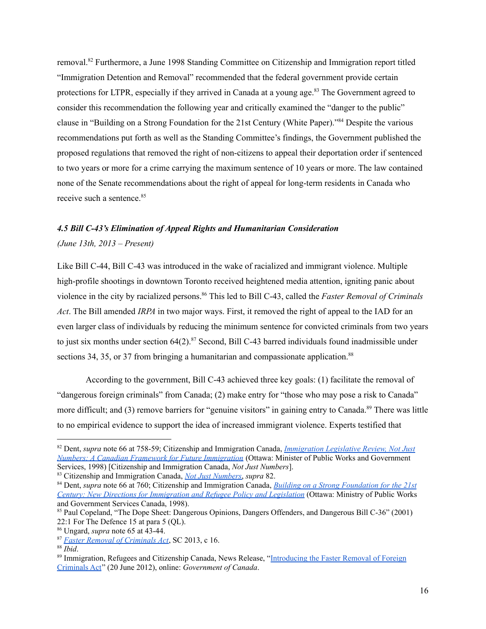removal. <sup>82</sup> Furthermore, a June 1998 Standing Committee on Citizenship and Immigration report titled "Immigration Detention and Removal" recommended that the federal government provide certain protections for LTPR, especially if they arrived in Canada at a young age.<sup>83</sup> The Government agreed to consider this recommendation the following year and critically examined the "danger to the public" clause in "Building on a Strong Foundation for the 21st Century (White Paper)." <sup>84</sup> Despite the various recommendations put forth as well as the Standing Committee's findings, the Government published the proposed regulations that removed the right of non-citizens to appeal their deportation order if sentenced to two years or more for a crime carrying the maximum sentence of 10 years or more. The law contained none of the Senate recommendations about the right of appeal for long-term residents in Canada who receive such a sentence. 85

# *4.5 Bill C-43's Elimination of Appeal Rights and Humanitarian Consideration*

### *(June 13th, 2013 – Present)*

Like Bill C-44, Bill C-43 was introduced in the wake of racialized and immigrant violence. Multiple high-profile shootings in downtown Toronto received heightened media attention, igniting panic about violence in the city by racialized persons. <sup>86</sup> This led to Bill C-43, called the *Faster Removal of Criminals Act*. The Bill amended *IRPA* in two major ways. First, it removed the right of appeal to the IAD for an even larger class of individuals by reducing the minimum sentence for convicted criminals from two years to just six months under section 64(2). <sup>87</sup> Second, Bill C-43 barred individuals found inadmissible under sections 34, 35, or 37 from bringing a humanitarian and compassionate application.<sup>88</sup>

According to the government, Bill C-43 achieved three key goals: (1) facilitate the removal of "dangerous foreign criminals" from Canada; (2) make entry for "those who may pose a risk to Canada" more difficult; and (3) remove barriers for "genuine visitors" in gaining entry to Canada.<sup>89</sup> There was little to no empirical evidence to support the idea of increased immigrant violence. Experts testified that

<sup>82</sup> Dent, *supra* note 66 at 758-59; Citizenship and Immigration Canada, *[Immigration](https://publications.gc.ca/site/eng/73964/publication.html) Legislative Review, Not Just Numbers: A Canadian Framework for Future [Immigration](https://publications.gc.ca/site/eng/73964/publication.html)* (Ottawa: Minister of Public Works and Government Services, 1998) [Citizenship and Immigration Canada, *Not Just Numbers*].

<sup>83</sup> Citizenship and Immigration Canada, *Not Just [Numbers](https://publications.gc.ca/site/eng/73964/publication.html)*, *supra* 82.

<sup>84</sup> Dent, *supra* note 66 at 760; Citizenship and Immigration Canada, *Building on a Strong [Foundation](https://publications.gc.ca/collections/Collection/Ci51-86-1998E.pdf) for the 21st Century: New Directions for [Immigration](https://publications.gc.ca/collections/Collection/Ci51-86-1998E.pdf) and Refugee Policy and Legislation* (Ottawa: Ministry of Public Works and Government Services Canada, 1998).

<sup>85</sup> Paul Copeland, "The Dope Sheet: Dangerous Opinions, Dangers Offenders, and Dangerous Bill C-36" (2001) 22:1 For The Defence 15 at para 5 (QL).

<sup>86</sup> Ungard, *supra* note 65 at 43-44.

<sup>87</sup> *Faster Removal of [Criminals](https://laws-lois.justice.gc.ca/eng/annualstatutes/2013_16/FullText.html) Act*, SC 2013, c 16.

 $88$  *Ibid.* 

<sup>&</sup>lt;sup>89</sup> Immigration, Refugees and Citizenship Canada, News Release, "[Introducing](https://www.canada.ca/en/immigration-refugees-citizenship/news/archives/backgrounders-2012/introducing-faster-removal-foreign-criminals-act.html) the Faster Removal of Foreign [Criminals](https://www.canada.ca/en/immigration-refugees-citizenship/news/archives/backgrounders-2012/introducing-faster-removal-foreign-criminals-act.html) Act" (20 June 2012), online: *Government of Canada*.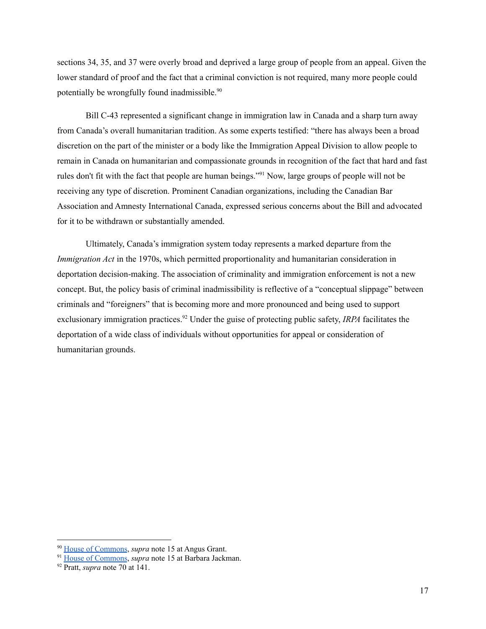sections 34, 35, and 37 were overly broad and deprived a large group of people from an appeal. Given the lower standard of proof and the fact that a criminal conviction is not required, many more people could potentially be wrongfully found inadmissible.<sup>90</sup>

Bill C-43 represented a significant change in immigration law in Canada and a sharp turn away from Canada's overall humanitarian tradition. As some experts testified: "there has always been a broad discretion on the part of the minister or a body like the Immigration Appeal Division to allow people to remain in Canada on humanitarian and compassionate grounds in recognition of the fact that hard and fast rules don't fit with the fact that people are human beings."<sup>91</sup> Now, large groups of people will not be receiving any type of discretion. Prominent Canadian organizations, including the Canadian Bar Association and Amnesty International Canada, expressed serious concerns about the Bill and advocated for it to be withdrawn or substantially amended.

Ultimately, Canada's immigration system today represents a marked departure from the *Immigration Act* in the 1970s, which permitted proportionality and humanitarian consideration in deportation decision-making. The association of criminality and immigration enforcement is not a new concept. But, the policy basis of criminal inadmissibility is reflective of a "conceptual slippage" between criminals and "foreigners" that is becoming more and more pronounced and being used to support exclusionary immigration practices.<sup>92</sup> Under the guise of protecting public safety, *IRPA* facilitates the deportation of a wide class of individuals without opportunities for appeal or consideration of humanitarian grounds.

<sup>90</sup> House of [Commons](https://www.ourcommons.ca/DocumentViewer/en/41-1/CIMM/meeting-57/evidence), *supra* note 15 at Angus Grant.

<sup>&</sup>lt;sup>91</sup> House of [Commons](https://www.ourcommons.ca/DocumentViewer/en/41-1/CIMM/meeting-57/evidence), *supra* note 15 at Barbara Jackman.

<sup>92</sup> Pratt, *supra* note 70 at 141.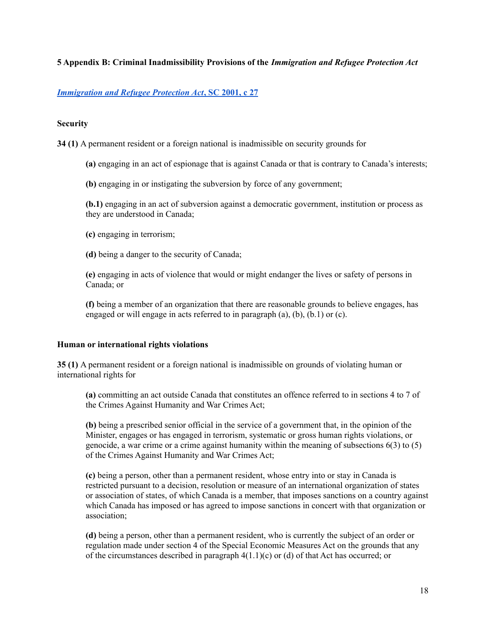### **5 Appendix B: Criminal Inadmissibility Provisions of the** *Immigration and Refugee Protection Act*

## *[Immigration](https://laws.justice.gc.ca/eng/acts/i-2.5/index.html) and Refugee Protection Act***, SC 2001, c 27**

### **Security**

**34 (1)** A permanent resident or a foreign national is inadmissible on security grounds for

- **(a)** engaging in an act of espionage that is against Canada or that is contrary to Canada's interests;
- **(b)** engaging in or instigating the subversion by force of any government;

**(b.1)** engaging in an act of subversion against a democratic government, institution or process as they are understood in Canada;

- **(c)** engaging in terrorism;
- **(d)** being a danger to the security of Canada;

**(e)** engaging in acts of violence that would or might endanger the lives or safety of persons in Canada; or

**(f)** being a member of an organization that there are reasonable grounds to believe engages, has engaged or will engage in acts referred to in paragraph (a), (b), (b.1) or (c).

### **Human or international rights violations**

**35 (1)** A permanent resident or a foreign national is inadmissible on grounds of violating human or international rights for

**(a)** committing an act outside Canada that constitutes an offence referred to in sections 4 to 7 of the Crimes Against Humanity and War Crimes Act;

**(b)** being a prescribed senior official in the service of a government that, in the opinion of the Minister, engages or has engaged in terrorism, systematic or gross human rights violations, or genocide, a war crime or a crime against humanity within the meaning of subsections 6(3) to (5) of the Crimes Against Humanity and War Crimes Act;

**(c)** being a person, other than a permanent resident, whose entry into or stay in Canada is restricted pursuant to a decision, resolution or measure of an international organization of states or association of states, of which Canada is a member, that imposes sanctions on a country against which Canada has imposed or has agreed to impose sanctions in concert with that organization or association;

**(d)** being a person, other than a permanent resident, who is currently the subject of an order or regulation made under section 4 of the Special Economic Measures Act on the grounds that any of the circumstances described in paragraph  $4(1.1)(c)$  or (d) of that Act has occurred; or